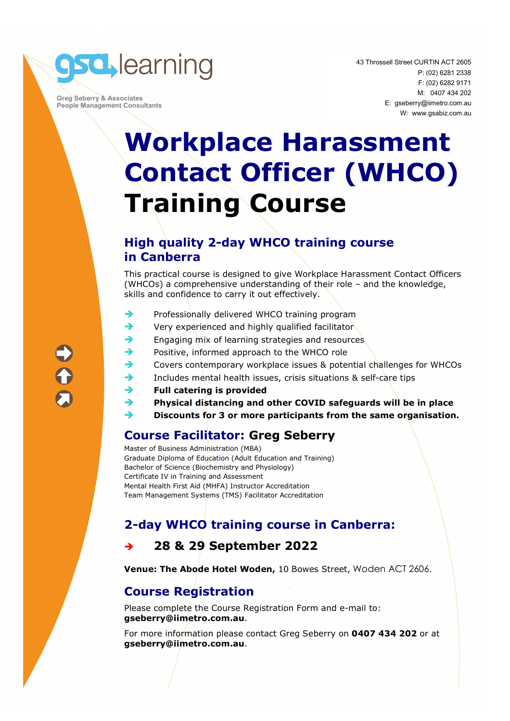

 **Greg Seberry & Associates People Management Consultants**  43 Throssell Street CURTIN ACT 2605 P: (02) 6281 2338 F: (02) 6282 9171 M: 0407 434 202 E: gseberry@iimetro.com.au W: www.gsabiz.com.au

## **Workplace Harassment Contact Officer (WHCO) Training Course**

#### **High quality 2-day WHCO training course in Canberra**

This practical course is designed to give Workplace Harassment Contact Officers (WHCOs) a comprehensive understanding of their role – and the knowledge, skills and confidence to carry it out effectively.

- $\rightarrow$  Professionally delivered WHCO training program
- Very experienced and highly qualified facilitator
- Engaging mix of learning strategies and resources
- Positive, informed approach to the WHCO role
- Covers contemporary workplace issues & potential challenges for WHCOs
- Includes mental health issues, crisis situations & self-care tips
- **Full catering is provided**
- **Physical distancing and other COVID safeguards will be in place**
- **Discounts for 3 or more participants from the same organisation.**

#### **Course Facilitator: Greg Seberry**

Master of Business Administration (MBA) Graduate Diploma of Education (Adult Education and Training) Bachelor of Science (Biochemistry and Physiology) Certificate IV in Training and Assessment Mental Health First Aid (MHFA) Instructor Accreditation Team Management Systems (TMS) Facilitator Accreditation

### **2-day WHCO training course in Canberra:**

#### **28 & 29 September 2022**

**Venue: The Abode Hotel Woden,** 10 Bowes Street, Woden ACT 2606.

#### **Course Registration**

Please complete the Course Registration Form and e-mail to: **gseberry@iimetro.com.au**.

For more information please contact Greg Seberry on **0407 434 202** or at **gseberry@iimetro.com.au**.